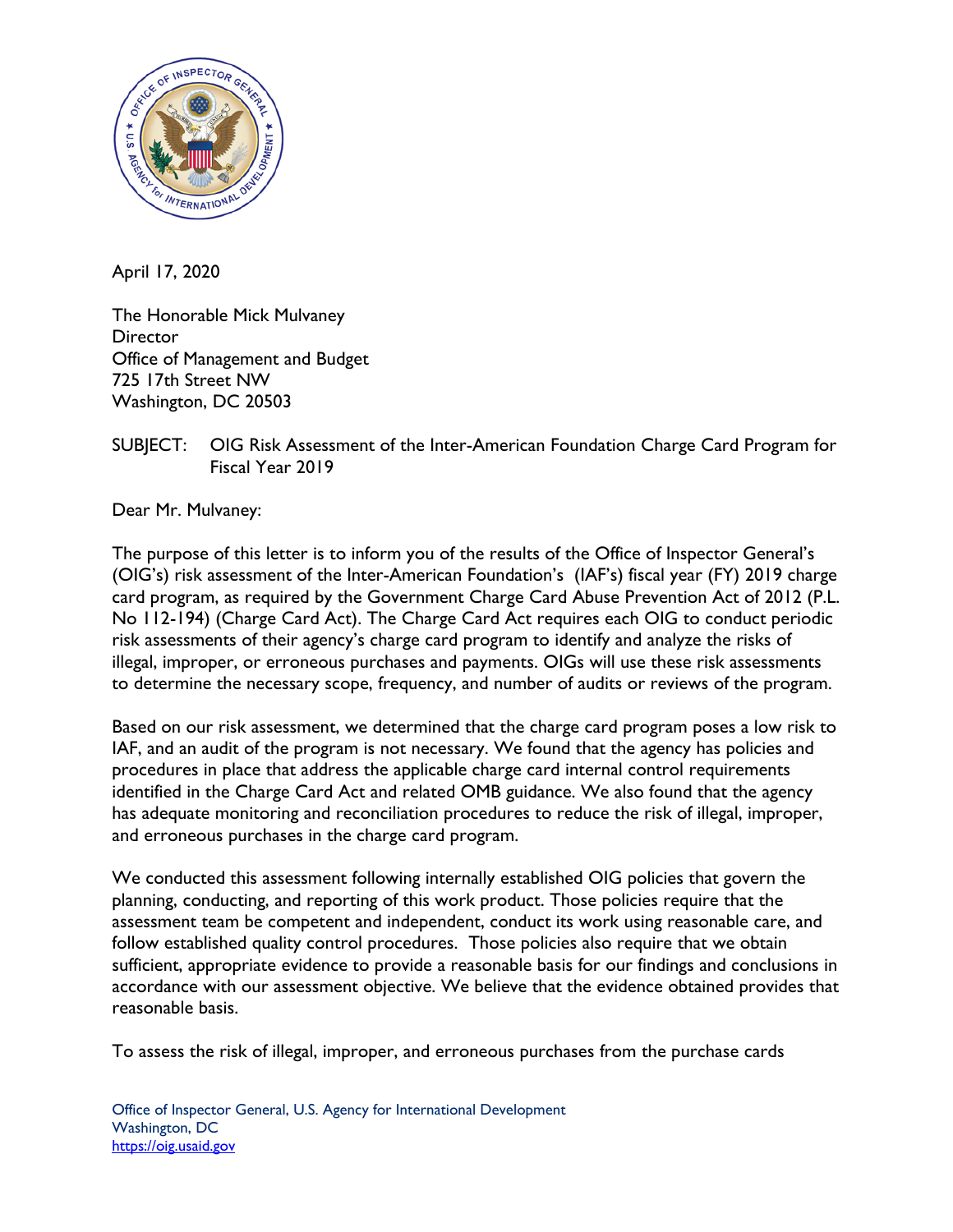

April 17, 2020

The Honorable Mick Mulvaney **Director** Office of Management and Budget 725 17th Street NW Washington, DC 20503

## SUBJECT: OIG Risk Assessment of the Inter-American Foundation Charge Card Program for Fiscal Year 2019

Dear Mr. Mulvaney:

The purpose of this letter is to inform you of the results of the Office of Inspector General's (OIG's) risk assessment of the Inter-American Foundation's (IAF's) fiscal year (FY) 2019 charge card program, as required by the Government Charge Card Abuse Prevention Act of 2012 (P.L. No 112-194) (Charge Card Act). The Charge Card Act requires each OIG to conduct periodic risk assessments of their agency's charge card program to identify and analyze the risks of illegal, improper, or erroneous purchases and payments. OIGs will use these risk assessments to determine the necessary scope, frequency, and number of audits or reviews of the program.

Based on our risk assessment, we determined that the charge card program poses a low risk to IAF, and an audit of the program is not necessary. We found that the agency has policies and procedures in place that address the applicable charge card internal control requirements identified in the Charge Card Act and related OMB guidance. We also found that the agency has adequate monitoring and reconciliation procedures to reduce the risk of illegal, improper, and erroneous purchases in the charge card program.

We conducted this assessment following internally established OIG policies that govern the planning, conducting, and reporting of this work product. Those policies require that the assessment team be competent and independent, conduct its work using reasonable care, and follow established quality control procedures. Those policies also require that we obtain sufficient, appropriate evidence to provide a reasonable basis for our findings and conclusions in accordance with our assessment objective. We believe that the evidence obtained provides that reasonable basis.

To assess the risk of illegal, improper, and erroneous purchases from the purchase cards